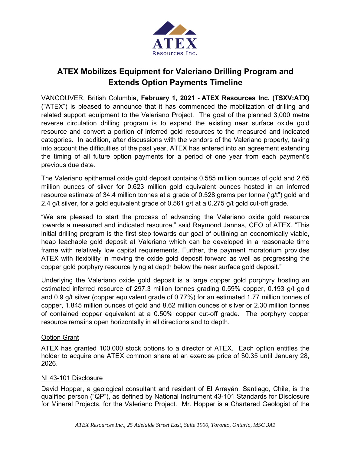

# **ATEX Mobilizes Equipment for Valeriano Drilling Program and Extends Option Payments Timeline**

VANCOUVER, British Columbia, **February 1, 2021** - **ATEX Resources Inc. (TSXV:ATX)**  ("ATEX") is pleased to announce that it has commenced the mobilization of drilling and related support equipment to the Valeriano Project. The goal of the planned 3,000 metre reverse circulation drilling program is to expand the existing near surface oxide gold resource and convert a portion of inferred gold resources to the measured and indicated categories. In addition, after discussions with the vendors of the Valeriano property, taking into account the difficulties of the past year, ATEX has entered into an agreement extending the timing of all future option payments for a period of one year from each payment's previous due date.

The Valeriano epithermal oxide gold deposit contains 0.585 million ounces of gold and 2.65 million ounces of silver for 0.623 million gold equivalent ounces hosted in an inferred resource estimate of 34.4 million tonnes at a grade of 0.528 grams per tonne ('g/t") gold and 2.4 g/t silver, for a gold equivalent grade of 0.561 g/t at a 0.275 g/t gold cut-off grade.

"We are pleased to start the process of advancing the Valeriano oxide gold resource towards a measured and indicated resource," said Raymond Jannas, CEO of ATEX. "This initial drilling program is the first step towards our goal of outlining an economically viable, heap leachable gold deposit at Valeriano which can be developed in a reasonable time frame with relatively low capital requirements. Further, the payment moratorium provides ATEX with flexibility in moving the oxide gold deposit forward as well as progressing the copper gold porphyry resource lying at depth below the near surface gold deposit."

Underlying the Valeriano oxide gold deposit is a large copper gold porphyry hosting an estimated inferred resource of 297.3 million tonnes grading 0.59% copper, 0.193 g/t gold and 0.9 g/t silver (copper equivalent grade of 0.77%) for an estimated 1.77 million tonnes of copper, 1.845 million ounces of gold and 8.62 million ounces of silver or 2.30 million tonnes of contained copper equivalent at a 0.50% copper cut-off grade. The porphyry copper resource remains open horizontally in all directions and to depth.

## **Option Grant**

ATEX has granted 100,000 stock options to a director of ATEX. Each option entitles the holder to acquire one ATEX common share at an exercise price of \$0.35 until January 28, 2026.

#### NI 43-101 Disclosure

David Hopper, a geological consultant and resident of El Arrayán, Santiago, Chile, is the qualified person ("QP"), as defined by National Instrument 43-101 Standards for Disclosure for Mineral Projects, for the Valeriano Project. Mr. Hopper is a Chartered Geologist of the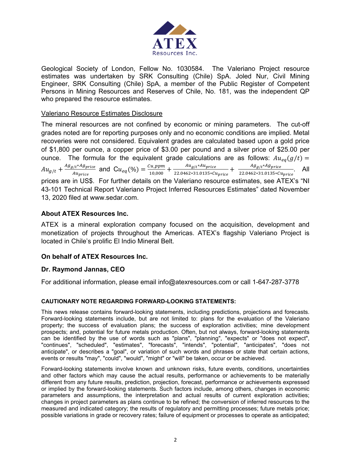

Geological Society of London, Fellow No. 1030584. The Valeriano Project resource estimates was undertaken by SRK Consulting (Chile) SpA. Joled Nur, Civil Mining Engineer, SRK Consulting (Chile) SpA, a member of the Public Register of Competent Persons in Mining Resources and Reserves of Chile, No. 181, was the independent QP who prepared the resource estimates.

#### Valeriano Resource Estimates Disclosure

The mineral resources are not confined by economic or mining parameters. The cut-off grades noted are for reporting purposes only and no economic conditions are implied. Metal recoveries were not considered. Equivalent grades are calculated based upon a gold price of \$1,800 per ounce, a copper price of \$3.00 per pound and a silver price of \$25.00 per ounce. The formula for the equivalent grade calculations are as follows:  $Au_{eq}(g/t)$  =  $Au_{g/t} + \frac{Ag_{g/t} * Ag_{price}}{Au_{price}}$  and  $Cu_{eq}(\%) = \frac{Cu\_ppm}{10,000} + \frac{Au_{g/t} * Au_{price}}{22.0462 * 31.0135 * C1}$  $\frac{Aug_t*Aug_{price}}{22.0462*31.0135*Cu_{price}} + \frac{Ag_{g/t}*Ag_{price}}{22.0462*31.0135*Cu_{price}}$ . All prices are in US\$. For further details on the Valeriano resource estimates, see ATEX's "NI 43-101 Technical Report Valeriano Project Inferred Resources Estimates" dated November 13, 2020 filed at www.sedar.com.

## **About ATEX Resources Inc.**

ATEX is a mineral exploration company focused on the acquisition, development and monetization of projects throughout the Americas. ATEX's flagship Valeriano Project is located in Chile's prolific El Indio Mineral Belt.

## **On behalf of ATEX Resources Inc.**

## **Dr. Raymond Jannas, CEO**

For additional information, please email info@atexresources.com or call 1-647-287-3778

#### **CAUTIONARY NOTE REGARDING FORWARD-LOOKING STATEMENTS:**

This news release contains forward-looking statements, including predictions, projections and forecasts. Forward-looking statements include, but are not limited to: plans for the evaluation of the Valeriano property; the success of evaluation plans; the success of exploration activities; mine development prospects; and, potential for future metals production. Often, but not always, forward-looking statements can be identified by the use of words such as "plans", "planning", "expects" or "does not expect", "continues", "scheduled", "estimates", "forecasts", "intends", "potential", "anticipates", "does not anticipate", or describes a "goal", or variation of such words and phrases or state that certain actions, events or results "may", "could", "would", "might" or "will" be taken, occur or be achieved.

Forward-looking statements involve known and unknown risks, future events, conditions, uncertainties and other factors which may cause the actual results, performance or achievements to be materially different from any future results, prediction, projection, forecast, performance or achievements expressed or implied by the forward-looking statements. Such factors include, among others, changes in economic parameters and assumptions, the interpretation and actual results of current exploration activities; changes in project parameters as plans continue to be refined; the conversion of inferred resources to the measured and indicated category; the results of regulatory and permitting processes; future metals price; possible variations in grade or recovery rates; failure of equipment or processes to operate as anticipated;